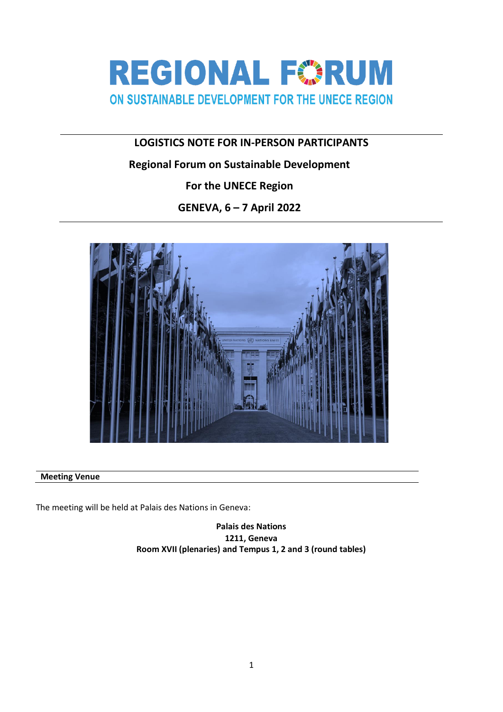

# **LOGISTICS NOTE FOR IN-PERSON PARTICIPANTS**

## **Regional Forum on Sustainable Development**

**For the UNECE Region**

**GENEVA, 6 – 7 April 2022**



## **Meeting Venue**

The meeting will be held at Palais des Nations in Geneva:

**Palais des Nations 1211, Geneva Room XVII (plenaries) and Tempus 1, 2 and 3 (round tables)**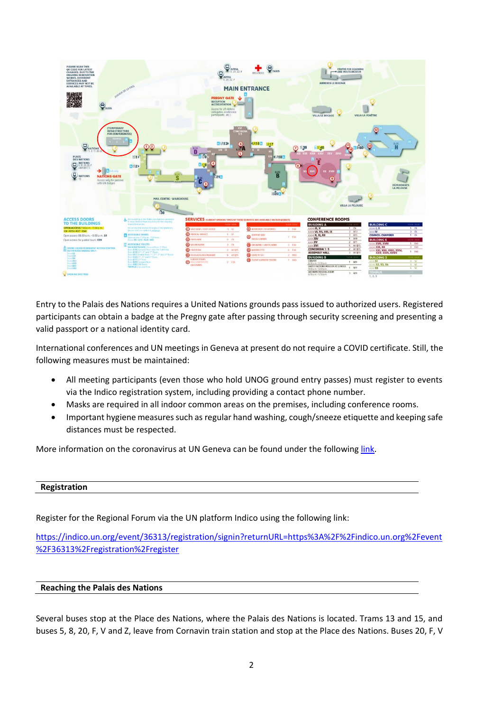

Entry to the Palais des Nations requires a United Nations grounds pass issued to authorized users. Registered participants can obtain a badge at the Pregny gate after passing through security screening and presenting a valid passport or a national identity card.

International conferences and UN meetings in Geneva at present do not require a COVID certificate. Still, the following measures must be maintained:

- All meeting participants (even those who hold UNOG ground entry passes) must register to events via the Indico registration system, including providing a contact phone number.
- Masks are required in all indoor common areas on the premises, including conference rooms.
- Important hygiene measures such as regular hand washing, cough/sneeze etiquette and keeping safe distances must be respected.

More information on the coronavirus at UN Geneva can be found under the following [link.](https://www.ungeneva.org/en/covid-19)

### **Registration**

Register for the Regional Forum via the UN platform Indico using the following link:

[https://indico.un.org/event/36313/registration/signin?returnURL=https%3A%2F%2Findico.un.org%2Fevent](https://indico.un.org/event/36313/registration/signin?returnURL=https%3A%2F%2Findico.un.org%2Fevent%2F36313%2Fregistration%2Fregister) [%2F36313%2Fregistration%2Fregister](https://indico.un.org/event/36313/registration/signin?returnURL=https%3A%2F%2Findico.un.org%2Fevent%2F36313%2Fregistration%2Fregister)

#### **Reaching the Palais des Nations**

Several buses stop at the Place des Nations, where the Palais des Nations is located. Trams 13 and 15, and buses 5, 8, 20, F, V and Z, leave from Cornavin train station and stop at the Place des Nations. Buses 20, F, V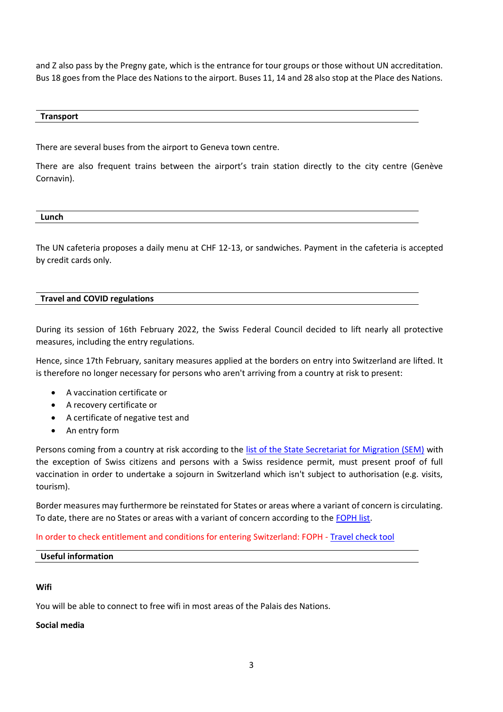and Z also pass by the Pregny gate, which is the entrance for tour groups or those without UN accreditation. Bus 18 goes from the Place des Nations to the airport. Buses 11, 14 and 28 also stop at the Place des Nations.

#### **Transport**

There are several buses from the airport to Geneva town centre.

There are also frequent trains between the airport's train station directly to the city centre (Genève Cornavin).

**Lunch**

The UN cafeteria proposes a daily menu at CHF 12-13, or sandwiches. Payment in the cafeteria is accepted by credit cards only.

### **Travel and COVID regulations**

During its session of 16th February 2022, the Swiss Federal Council decided to lift nearly all protective measures, including the entry regulations.

Hence, since 17th February, sanitary measures applied at the borders on entry into Switzerland are lifted. It is therefore no longer necessary for persons who aren't arriving from a country at risk to present:

- A vaccination certificate or
- A recovery certificate or
- A certificate of negative test and
- An entry form

Persons coming from a country at risk according to the [list of the State Secretariat for Migration \(SEM\)](https://www.ejpd.admin.ch/sem/en/home/sem/aktuell/faq-einreiseverweigerung.html) with the exception of Swiss citizens and persons with a Swiss residence permit, must present proof of full vaccination in order to undertake a sojourn in Switzerland which isn't subject to authorisation (e.g. visits, tourism).

Border measures may furthermore be reinstated for States or areas where a variant of concern is circulating. To date, there are no States or areas with a variant of concern according to th[e FOPH list.](https://www.bag.admin.ch/bag/en/home/krankheiten/ausbrueche-epidemien-pandemien/aktuelle-ausbrueche-epidemien/novel-cov/empfehlungen-fuer-reisende/liste.html)

In order to check entitlement and conditions for entering Switzerland: FOPH - [Travel check tool](https://travelcheck.admin.ch/home)

### **Useful information**

### **Wifi**

You will be able to connect to free wifi in most areas of the Palais des Nations.

### **Social media**